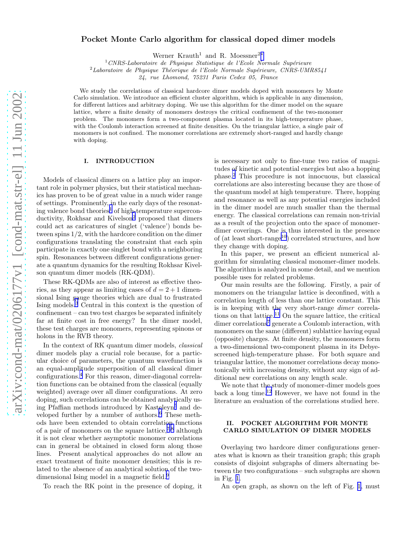# Pocket Monte Carlo algorithm for classical doped dimer models

Werner Krauth<sup>1</sup> and R. Moessner<sup>2</sup><sup>[∗](#page-5-0)</sup>

 $1$ CNRS-Laboratoire de Physique Statistique de l'Ecole Normale Supérieure

 $2$ Laboratoire de Physique Théorique de l'Ecole Normale Supérieure, CNRS-UMR8541

24, rue Lhomond, 75231 Paris Cedex 05, France

We study the correlations of classical hardcore dimer models doped with monomers by Monte Carlo simulation. We introduce an efficient cluster algorithm, which is applicable in any dimension, for different lattices and arbitrary doping. We use this algorithm for the dimer model on the square lattice, where a finite density of monomers destroys the critical confinement of the two-monomer problem. The monomers form a two-component plasma located in its high-temperature phase, with the Coulomb interaction screened at finite densities. On the triangular lattice, a single pair of monomers is not confined. The monomer correlations are extremely short-ranged and hardly change with doping.

# I. INTRODUCTION

Models of classical dimers on a lattice play an important role in polymer physics, but their statistical mechanics has proven to be of great value in a much wider range of settings. Prominently, in the early days of the resonat-ing valence bond theories<sup>[1](#page-5-0)</sup> of high-temperature supercon-ductivity, Rokhsar and Kivelson<sup>[2](#page-5-0)</sup> proposed that dimers could act as caricatures of singlet ('valence') bonds between spins 1/2, with the hardcore condition on the dimer configurations translating the constraint that each spin participate in exactly one singlet bond with a neighboring spin. Resonances between different configurations generate a quantum dynamics for the resulting Rokhsar Kivelson quantum dimer models (RK-QDM).

These RK-QDMs are also of interest as effective theories, as they appear as limiting cases of  $d = 2 + 1$  dimensional Ising gauge theories which are dual to frustrated Ising models.[3](#page-5-0) Central in this context is the question of confinement – can two test charges be separated infinitely far at finite cost in free energy? In the dimer model, these test charges are monomers, representing spinons or holons in the RVB theory.

In the context of RK quantum dimer models, classical dimer models play a crucial role because, for a particular choice of parameters, the quantum wavefunction is an equal-amplitude superposition of all classical dimer configurations.[4](#page-5-0) For this reason, dimer-diagonal correlation functions can be obtained from the classical (equally weighted) average over all dimer configurations. At zero doping, such correlations can be obtained analytically us-ing Pfaffian methods introduced by Kasteleyn<sup>[5](#page-5-0)</sup> and de-veloped further by a number of authors.<sup>[6](#page-5-0)</sup> These methods have been extended to obtain correlation functions of a pair of monomers on the square lattice,  $7,8$  although it is not clear whether asymptotic monomer correlations can in general be obtained in closed form along those lines. Present analytical approaches do not allow an exact treatment of finite monomer densities; this is related to the absence of an analytical solution of the two-dimensional Ising model in a magnetic field.<sup>[9](#page-5-0)</sup>

To reach the RK point in the presence of doping, it

is necessary not only to fine-tune two ratios of magnitudes of kinetic and potential energies but also a hopping phase.[2](#page-5-0) This procedure is not innocuous, but classical correlations are also interesting because they are those of the quantum model at high temperature. There, hopping and resonance as well as any potential energies included in the dimer model are much smaller than the thermal energy. The classical correlations can remain non-trivial as a result of the projection onto the space of monomerdimer coverings. One is thus interested in the presence of (at least short-range<sup>[10](#page-5-0)</sup>) correlated structures, and how they change with doping.

In this paper, we present an efficient numerical algorithm for simulating classical monomer-dimer models. The algorithm is analyzed in some detail, and we mention possible uses for related problems.

Our main results are the following. Firstly, a pair of monomers on the triangular lattice is deconfined, with a correlation length of less than one lattice constant. This is in keeping with the very short-range dimer correlations on that lattice.[11](#page-5-0) On the square lattice, the critical dimer correlations<sup>[7](#page-5-0)</sup> generate a Coulomb interaction, with monomers on the same (different) sublattice having equal (opposite) charges. At finite density, the monomers form a two-dimensional two-component plasma in its Debyescreened high-temperature phase. For both square and triangular lattice, the monomer correlations decay monotonically with increasing density, without any sign of additional new correlations on any length scale.

We note that the study of monomer-dimer models goes back a long time.<sup>[12](#page-5-0)</sup> However, we have not found in the literature an evaluation of the correlations studied here.

## II. POCKET ALGORITHM FOR MONTE CARLO SIMULATION OF DIMER MODELS

Overlaying two hardcore dimer configurations generates what is known as their transition graph; this graph consists of disjoint subgraphs of dimers alternating between the two configurations – such subgraphs are shown in Fig. [1.](#page-1-0)

An open graph, as shown on the left of Fig. [1,](#page-1-0) must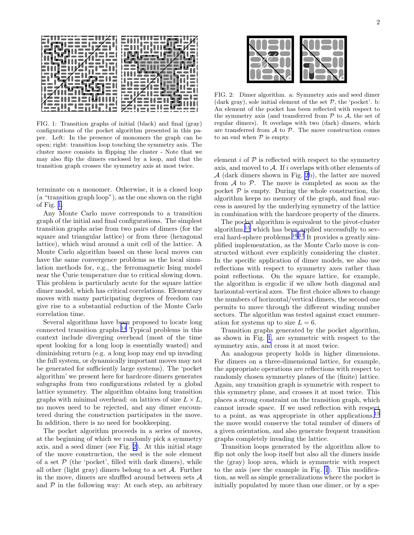<span id="page-1-0"></span>

FIG. 1: Transition graphs of initial (black) and final (gray) configurations of the pocket algorithm presented in this paper. Left: In the presence of monomers the graph can be open; right: transition loop touching the symmetry axis. The cluster move consists in flipping the cluster - Note that we may also flip the dimers enclosed by a loop, and that the transition graph crosses the symmetry axis at most twice.

terminate on a monomer. Otherwise, it is a closed loop (a "transition graph loop"), as the one shown on the right of Fig. 1.

Any Monte Carlo move corresponds to a transition graph of the initial and final configurations. The simplest transition graphs arise from two pairs of dimers (for the square and triangular lattice) or from three (hexagonal lattice), which wind around a unit cell of the lattice. A Monte Carlo algorithm based on these local moves can have the same convergence problems as the local simulation methods for, e.g., the ferromagnetic Ising model near the Curie temperature due to critical slowing down. This problem is particularly acute for the square lattice dimer model, which has critical correlations. Elementary moves with many participating degrees of freedom can give rise to a substantial reduction of the Monte Carlo correlation time.

Several algorithms have been proposed to locate long connected transition graphs.[14](#page-5-0) Typical problems in this context include diverging overhead (most of the time spent looking for a long loop is essentially wasted) and diminishing return (e.g. a long loop may end up invading the full system, or dynamically important moves may not be generated for sufficiently large systems). The 'pocket algorithm' we present here for hardcore dimers generates subgraphs from two configurations related by a global lattice symmetry. The algorithm obtains long transition graphs with minimal overhead: on lattices of size  $L \times L$ , no moves need to be rejected, and any dimer encountered during the construction participates in the move. In addition, there is no need for bookkeeping.

The pocket algorithm proceeds in a series of moves, at the beginning of which we randomly pick a symmetry axis, and a seed dimer (see Fig. 2). At this initial stage of the move construction, the seed is the sole element of a set  $P$  (the 'pocket', filled with dark dimers), while all other (light gray) dimers belong to a set  $A$ . Further in the move, dimers are shuffled around between sets  $A$ and  $P$  in the following way: At each step, an arbitrary



FIG. 2: Dimer algorithm. a: Symmetry axis and seed dimer (dark gray), sole initial element of the set  $P$ , the 'pocket', b: An element of the pocket has been reflected with respect to the symmetry axis (and transferred from  $P$  to  $A$ , the set of regular dimers). It overlaps with two (dark) dimers, which are transferred from  $A$  to  $P$ . The move construction comes to an end when  $P$  is empty.

element  $i$  of  $P$  is reflected with respect to the symmetry axis, and moved to  $A$ . If i overlaps with other elements of A (dark dimers shown in Fig. 2b), the latter are moved from  $A$  to  $P$ . The move is completed as soon as the pocket  $P$  is empty. During the whole construction, the algorithm keeps no memory of the graph, and final success is assured by the underlying symmetry of the lattice in combination with the hardcore property of the dimers.

The pocket algorithm is equivalent to the pivot-cluster algorithm,[15](#page-5-0) which has been applied successfully to sev-eral hard-sphere problems.<sup>[16,17](#page-5-0)</sup> It provides a greatly simplified implementation, as the Monte Carlo move is constructed without ever explicitly considering the cluster. In the specific application of dimer models, we also use reflections with respect to symmetry axes rather than point reflections. On the square lattice, for example, the algorithm is ergodic if we allow both diagonal and horizontal-vertical axes. The first choice allows to change the numbers of horizontal/vertical dimers, the second one permits to move through the different winding number sectors. The algorithm was tested against exact enumeration for systems up to size  $L = 6$ .

Transition graphs generated by the pocket algorithm, as shown in Fig. 1, are symmetric with respect to the symmetry axis, and cross it at most twice.

An analogous property holds in higher dimensions. For dimers on a three-dimensional lattice, for example, the appropriate operations are reflections with respect to randomly chosen symmetry planes of the (finite) lattice. Again, any transition graph is symmetric with respect to this symmetry plane, and crosses it at most twice. This places a strong constraint on the transition graph, which cannot invade space. If we used reflection with respect to a point, as was appropriate in other applications,  $15$ the move would conserve the total number of dimers of a given orientation, and also generate frequent transition graphs completely invading the lattice.

Transition loops generated by the algorithm allow to flip not only the loop itself but also all the dimers inside the (gray) loop area, which is symmetric with respect to the axis (see the example in Fig. 1). This modification, as well as simple generalizations where the pocket is initially populated by more than one dimer, or by a spe-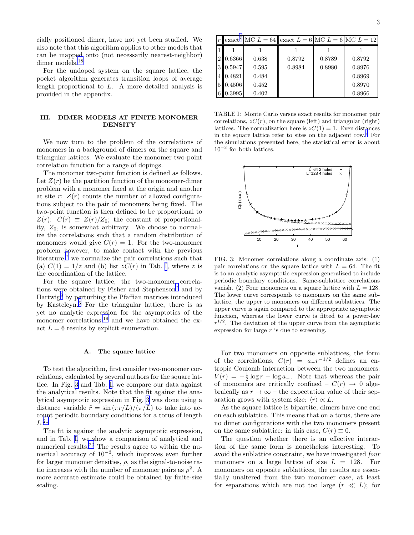<span id="page-2-0"></span>cially positioned dimer, have not yet been studied. We also note that this algorithm applies to other models that can be mapped onto (not necessarily nearest-neighbor) dimer models.<sup>[18](#page-5-0)</sup>

For the undoped system on the square lattice, the pocket algorithm generates transition loops of average length proportional to L. A more detailed analysis is provided in the appendix.

### III. DIMER MODELS AT FINITE MONOMER **DENSITY**

We now turn to the problem of the correlations of monomers in a background of dimers on the square and triangular lattices. We evaluate the monomer two-point correlation function for a range of dopings.

The monomer two-point function is defined as follows. Let  $Z(r)$  be the partition function of the monomer-dimer problem with a monomer fixed at the origin and another at site r:  $Z(r)$  counts the number of allowed configurations subject to the pair of monomers being fixed. The two-point function is then defined to be proportional to  $Z(r)$ :  $C(r) \equiv Z(r)/Z_0$ ; the constant of proportionality,  $Z_0$ , is somewhat arbitrary. We choose to normalize the correlations such that a random distribution of monomers would give  $C(r) = 1$ . For the two-monomer problem however, to make contact with the previous literature,<sup>[7](#page-5-0)</sup> we normalize the pair correlations such that (a)  $C(1) = 1/z$  and (b) list  $zC(r)$  in Tab. I, where z is the coordination of the lattice.

For the square lattice, the two-monomer correla-tions were obtained by Fisher and Stephenson<sup>[7](#page-5-0)</sup> and by Hartwig[8](#page-5-0) by perturbing the Pfaffian matrices introduced by Kasteleyn.[5](#page-5-0) For the triangular lattice, there is as yet no analytic expression for the asymptotics of the monomer correlations,<sup>[19](#page-5-0)</sup> and we have obtained the exact  $L = 6$  results by explicit enumeration.

#### A. The square lattice

To test the algorithm, first consider two-monomer correlations, calculated by several authors for the square lattice. In Fig. 3 and Tab. I, we compare our data against the analytical results. Note that the fit against the analytical asymptotic expression in Fig. 3 was done using a distance variable  $\tilde{r} = \sin(\pi r/L)/(\pi/L)$  to take into account periodic boundary conditions for a torus of length  $L^{21}$  $L^{21}$  $L^{21}$ 

The fit is against the analytic asymptotic expression, and in Tab. I, we show a comparison of analytical and numerical results.<sup>[20](#page-5-0)</sup> The results agree to within the numerical accuracy of 10−<sup>3</sup> , which improves even further for larger monomer densities,  $\rho$ , as the signal-to-noise ratio increases with the number of monomer pairs as  $\rho^2$ . A more accurate estimate could be obtained by finite-size scaling.

|   |          |       | r exact <sup>7</sup> MC $L = 64$ exact $L = 6$ MC $L = 6$ MC $L = 12$ |        |        |
|---|----------|-------|-----------------------------------------------------------------------|--------|--------|
|   |          |       |                                                                       |        |        |
|   | 2 0.6366 | 0.638 | 0.8792                                                                | 0.8789 | 0.8792 |
|   | 3 0.5947 | 0.595 | 0.8984                                                                | 0.8980 | 0.8976 |
|   | 4 0.4821 | 0.484 |                                                                       |        | 0.8969 |
| 5 | 0.4506   | 0.452 |                                                                       |        | 0.8970 |
|   | 6 0.3995 | 0.402 |                                                                       |        | 0.8966 |

TABLE I: Monte Carlo versus exact results for monomer pair correlations,  $zC(r)$ , on the square (left) and triangular (right) lattices. The normalization here is  $zC(1) = 1$ . Even distances in the square lattice refer to sites on the adjacent row.[7](#page-5-0) For the simulations presented here, the statistical error is about  $10^{-3}$  for both lattices.



FIG. 3: Monomer correlations along a coordinate axis: (1) pair correlations on the square lattice with  $L = 64$ . The fit is to an analytic asymptotic expression generalized to include periodic boundary conditions. Same-sublattice correlations vanish. (2) Four monomers on a square lattice with  $L = 128$ . The lower curve corresponds to monomers on the same sublattice, the upper to monomers on different sublattices. The upper curve is again compared to the appropriate asymptotic function, whereas the lower curve is fitted to a power-law  $r^{1/2}$ . The deviation of the upper curve from the asymptotic expression for large  $r$  is due to screening.

For two monomers on opposite sublattices, the form of the correlations,  $C(r) = a_r r^{-1/2}$  defines an entropic Coulomb interaction between the two monomers:  $V(r) = -\frac{1}{2}\log r - \log a_$ . Note that whereas the pair of monomers are critically confined –  $C(r) \rightarrow 0$  algebraically as  $r \to \infty$  – the expectation value of their separation grows with system size:  $\langle r \rangle \propto L$ .

As the square lattice is bipartite, dimers have one end on each sublattice. This means that on a torus, there are no dimer configurations with the two monomers present on the same sublattice: in this case,  $C(r) \equiv 0$ .

The question whether there is an effective interaction of the same form is nonetheless interesting. To avoid the sublattice constraint, we have investigated four monomers on a large lattice of size  $L = 128$ . For monomers on opposite sublattices, the results are essentially unaltered from the two monomer case, at least for separations which are not too large  $(r \ll L)$ ; for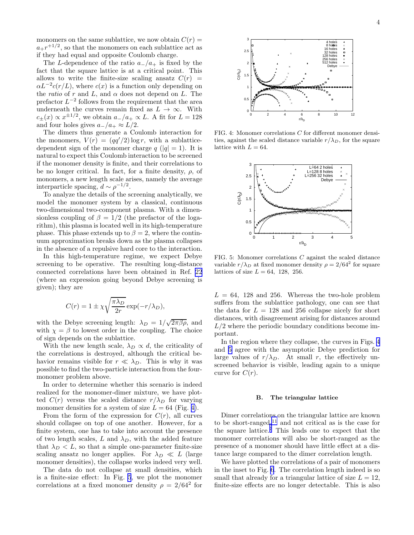monomers on the same sublattice, we now obtain  $C(r)$  $a_{+}r^{+1/2}$ , so that the monomers on each sublattice act as if they had equal and opposite Coulomb charge.

The L-dependence of the ratio  $a_{-}/a_{+}$  is fixed by the fact that the square lattice is at a critical point. This allows to write the finite-size scaling ansatz  $C(r)$  =  $\alpha L^{-2}c(r/L)$ , where  $c(x)$  is a function only depending on the ratio of r and L, and  $\alpha$  does not depend on L. The prefactor  $L^{-2}$  follows from the requirement that the area underneath the curves remain fixed as  $L \to \infty$ . With  $c_{\pm}(x) \propto x^{\pm 1/2}$ , we obtain  $a_{-}/a_{+} \propto L$ . A fit for  $L = 128$ and four holes gives  $a_{-}/a_{+} \approx L/2$ .

The dimers thus generate a Coulomb interaction for the monomers,  $V(r) = (qq'/2) \log r$ , with a sublatticedependent sign of the monomer charge  $q(|q|=1)$ . It is natural to expect this Coulomb interaction to be screened if the monomer density is finite, and their correlations to be no longer critical. In fact, for a finite density,  $\rho$ , of monomers, a new length scale arises, namely the average interparticle spacing,  $d \sim \rho^{-1/2}$ .

To analyze the details of the screening analytically, we model the monomer system by a classical, continuous two-dimensional two-component plasma. With a dimensionless coupling of  $\beta = 1/2$  (the prefactor of the logarithm), this plasma is located well in its high-temperature phase. This phase extends up to  $\beta = 2$ , where the continuum approximation breaks down as the plasma collapses in the absence of a repulsive hard core to the interaction.

In this high-temperature regime, we expect Debye screening to be operative. The resulting long-distance connected correlations have been obtained in Ref. [22](#page-5-0) (where an expression going beyond Debye screening is given); they are

$$
C(r) = 1 \pm \chi \sqrt{\frac{\pi \lambda_D}{2r}} \exp(-r/\lambda_D),
$$

with the Debye screening length:  $\lambda_D = 1/\sqrt{2\pi\beta\rho}$ , and with  $\chi = \beta$  to lowest order in the coupling. The choice of sign depends on the sublattice.

With the new length scale,  $\lambda_D \propto d$ , the criticality of the correlations is destroyed, although the critical behavior remains visible for  $r \ll \lambda_D$ . This is why it was possible to find the two-particle interaction from the fourmonomer problem above.

In order to determine whether this scenario is indeed realized for the monomer-dimer mixture, we have plotted  $C(r)$  versus the scaled distance  $r/\lambda_D$  for varying monomer densities for a system of size  $L = 64$  (Fig. 4).

From the form of the expression for  $C(r)$ , all curves should collapse on top of one another. However, for a finite system, one has to take into account the presence of two length scales, L and  $\lambda_D$ , with the added feature that  $\lambda_D < L$ , so that a simple one-parameter finite-size scaling ansatz no longer applies. For  $\lambda_D \ll L$  (large monomer densities), the collapse works indeed very well.

The data do not collapse at small densities, which is a finite-size effect: In Fig. 5, we plot the monomer correlations at a fixed monomer density  $\rho = 2/64^2$  for



FIG. 4: Monomer correlations C for different monomer densities, against the scaled distance variable  $r/\lambda_D$ , for the square lattice with  $L = 64$ .



FIG. 5: Monomer correlations C against the scaled distance variable  $r/\lambda_D$  at fixed monomer density  $\rho = 2/64^2$  for square lattices of size  $L = 64$ , 128, 256.

 $L = 64$ , 128 and 256. Whereas the two-hole problem suffers from the sublattice pathology, one can see that the data for  $L = 128$  and 256 collapse nicely for short distances, with disagreement arising for distances around  $L/2$  where the periodic boundary conditions become important.

In the region where they collapse, the curves in Figs. 4 and 5 agree with the asymptotic Debye prediction for large values of  $r/\lambda_D$ . At small r, the effectively unscreened behavior is visible, leading again to a unique curve for  $C(r)$ .

## B. The triangular lattice

Dimer correlations on the triangular lattice are known to be short-ranged,<sup>[11](#page-5-0)</sup> and not critical as is the case for the square lattice.<sup>[7](#page-5-0)</sup> This leads one to expect that the monomer correlations will also be short-ranged as the presence of a monomer should have little effect at a distance large compared to the dimer correlation length.

We have plotted the correlations of a pair of monomers in the inset to Fig. [6](#page-4-0). The correlation length indeed is so small that already for a triangular lattice of size  $L = 12$ , finite-size effects are no longer detectable. This is also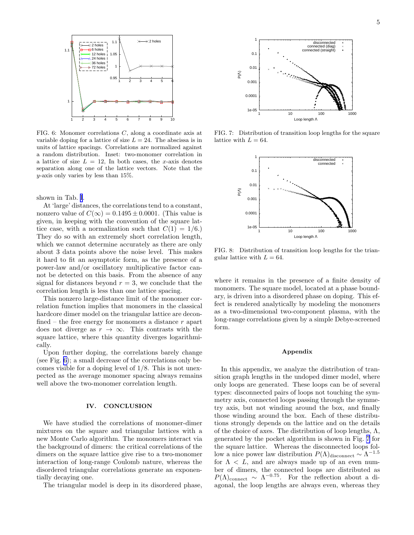<span id="page-4-0"></span>

FIG. 6: Monomer correlations C, along a coordinate axis at variable doping for a lattice of size  $L = 24$ . The abscissa is in units of lattice spacings. Correlations are normalized against a random distribution. Inset: two-monomer correlation in a lattice of size  $L = 12$ , In both cases, the x-axis denotes separation along one of the lattice vectors. Note that the y-axis only varies by less than 15%.

shown in Tab. [I](#page-2-0).

At 'large' distances, the correlations tend to a constant, nonzero value of  $C(\infty) = 0.1495 \pm 0.0001$ . (This value is given, in keeping with the convention of the square lattice case, with a normalization such that  $C(1) = 1/6.$ They do so with an extremely short correlation length, which we cannot determine accurately as there are only about 3 data points above the noise level. This makes it hard to fit an asymptotic form, as the presence of a power-law and/or oscillatory multiplicative factor cannot be detected on this basis. From the absence of any signal for distances beyond  $r = 3$ , we conclude that the correlation length is less than one lattice spacing.

This nonzero large-distance limit of the monomer correlation function implies that monomers in the classical hardcore dimer model on the triangular lattice are deconfined – the free energy for monomers a distance  $r$  apart does not diverge as  $r \to \infty$ . This contrasts with the square lattice, where this quantity diverges logarithmically.

Upon further doping, the correlations barely change (see Fig. 6); a small decrease of the correlations only becomes visible for a doping level of 1/8. This is not unexpected as the average monomer spacing always remains well above the two-monomer correlation length.

### IV. CONCLUSION

We have studied the correlations of monomer-dimer mixtures on the square and triangular lattices with a new Monte Carlo algorithm. The monomers interact via the background of dimers: the critical correlations of the dimers on the square lattice give rise to a two-monomer interaction of long-range Coulomb nature, whereas the disordered triangular correlations generate an exponentially decaying one.

The triangular model is deep in its disordered phase,



FIG. 7: Distribution of transition loop lengths for the square lattice with  $L = 64$ .



FIG. 8: Distribution of transition loop lengths for the triangular lattice with  $L = 64$ .

where it remains in the presence of a finite density of monomers. The square model, located at a phase boundary, is driven into a disordered phase on doping. This effect is rendered analytically by modeling the monomers as a two-dimensional two-component plasma, with the long-range correlations given by a simple Debye-screened form.

### Appendix

In this appendix, we analyze the distribution of transition graph lengths in the undoped dimer model, where only loops are generated. These loops can be of several types: disconnected pairs of loops not touching the symmetry axis, connected loops passing through the symmetry axis, but not winding around the box, and finally those winding around the box. Each of these distributions strongly depends on the lattice and on the details of the choice of axes. The distribution of loop lengths,  $\Lambda$ , generated by the pocket algorithm is shown in Fig. 7 for the square lattice. Whereas the disconnected loops follow a nice power law distribution  $P(\Lambda)$ <sub>disconnect</sub> ~  $\Lambda^{-1.5}$ for  $\Lambda < L$ , and are always made up of an even number of dimers, the connected loops are distributed as  $P(\Lambda)_{\text{connect}} \sim \Lambda^{-0.75}$ . For the reflection about a diagonal, the loop lengths are always even, whereas they